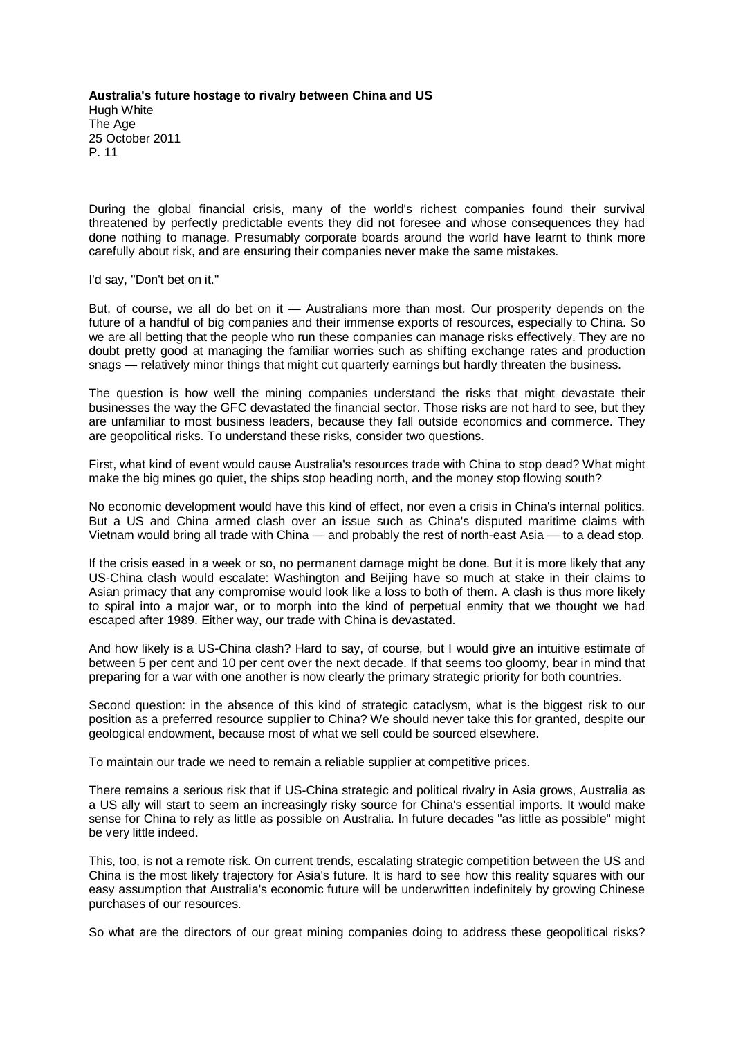**Australia's future hostage to rivalry between China and US** Hugh White The Age 25 October 2011 P. 11

During the global financial crisis, many of the world's richest companies found their survival threatened by perfectly predictable events they did not foresee and whose consequences they had done nothing to manage. Presumably corporate boards around the world have learnt to think more carefully about risk, and are ensuring their companies never make the same mistakes.

I'd say, "Don't bet on it."

But, of course, we all do bet on it — Australians more than most. Our prosperity depends on the future of a handful of big companies and their immense exports of resources, especially to China. So we are all betting that the people who run these companies can manage risks effectively. They are no doubt pretty good at managing the familiar worries such as shifting exchange rates and production snags — relatively minor things that might cut quarterly earnings but hardly threaten the business.

The question is how well the mining companies understand the risks that might devastate their businesses the way the GFC devastated the financial sector. Those risks are not hard to see, but they are unfamiliar to most business leaders, because they fall outside economics and commerce. They are geopolitical risks. To understand these risks, consider two questions.

First, what kind of event would cause Australia's resources trade with China to stop dead? What might make the big mines go quiet, the ships stop heading north, and the money stop flowing south?

No economic development would have this kind of effect, nor even a crisis in China's internal politics. But a US and China armed clash over an issue such as China's disputed maritime claims with Vietnam would bring all trade with China — and probably the rest of north-east Asia — to a dead stop.

If the crisis eased in a week or so, no permanent damage might be done. But it is more likely that any US-China clash would escalate: Washington and Beijing have so much at stake in their claims to Asian primacy that any compromise would look like a loss to both of them. A clash is thus more likely to spiral into a major war, or to morph into the kind of perpetual enmity that we thought we had escaped after 1989. Either way, our trade with China is devastated.

And how likely is a US-China clash? Hard to say, of course, but I would give an intuitive estimate of between 5 per cent and 10 per cent over the next decade. If that seems too gloomy, bear in mind that preparing for a war with one another is now clearly the primary strategic priority for both countries.

Second question: in the absence of this kind of strategic cataclysm, what is the biggest risk to our position as a preferred resource supplier to China? We should never take this for granted, despite our geological endowment, because most of what we sell could be sourced elsewhere.

To maintain our trade we need to remain a reliable supplier at competitive prices.

There remains a serious risk that if US-China strategic and political rivalry in Asia grows, Australia as a US ally will start to seem an increasingly risky source for China's essential imports. It would make sense for China to rely as little as possible on Australia. In future decades "as little as possible" might be very little indeed.

This, too, is not a remote risk. On current trends, escalating strategic competition between the US and China is the most likely trajectory for Asia's future. It is hard to see how this reality squares with our easy assumption that Australia's economic future will be underwritten indefinitely by growing Chinese purchases of our resources.

So what are the directors of our great mining companies doing to address these geopolitical risks?